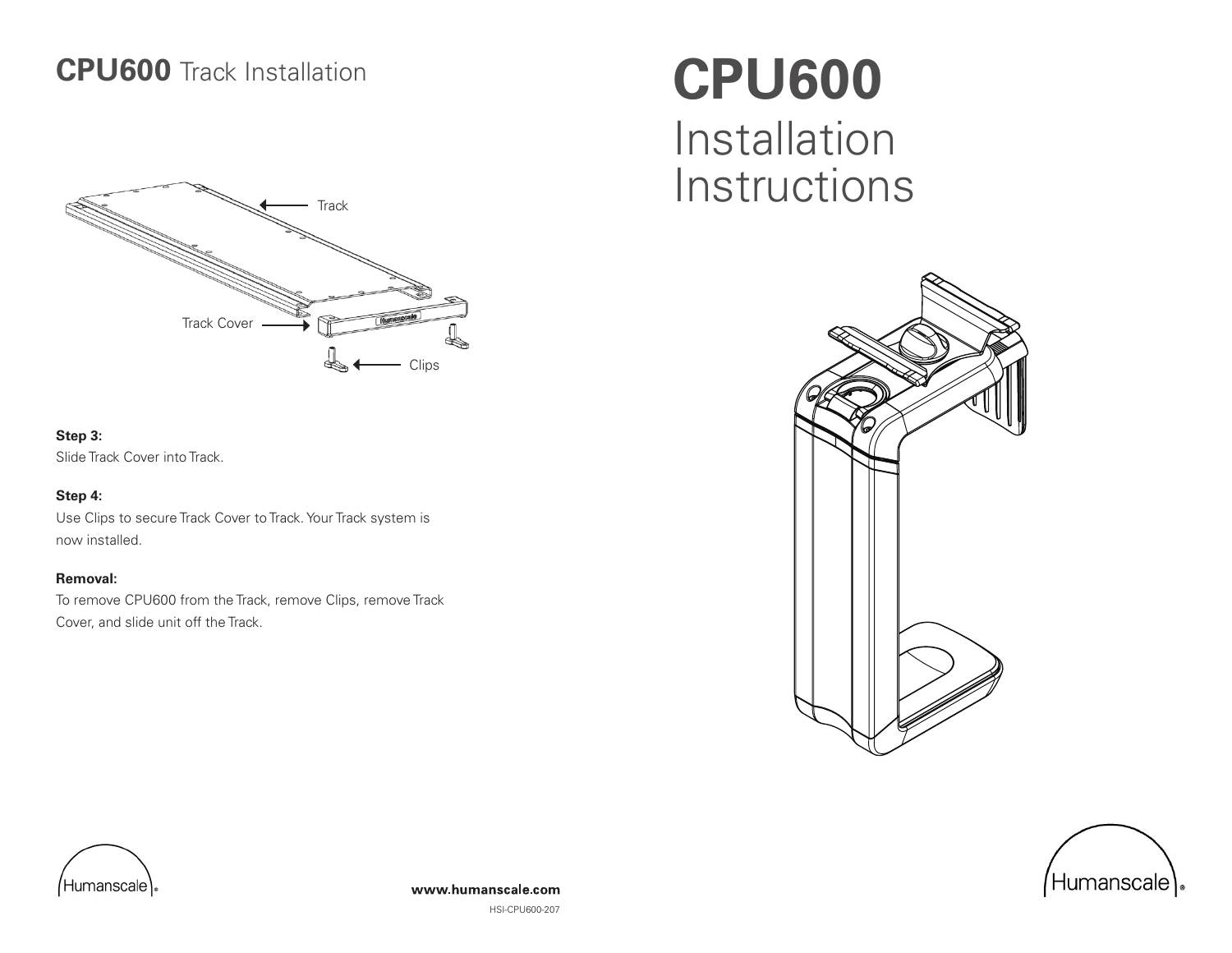### **CPU600** Track Installation



#### **Step 3:**

Slide Track Cover into Track.

#### **Step 4:**

Use Clips to secure Track Cover to Track. Your Track system is now installed.

#### **Removal:**

To remove CPU600 from the Track, remove Clips, remove Track Cover, and slide unit off the Track.

# **CPU600** Installation Instructions







HSI-CPU600-207